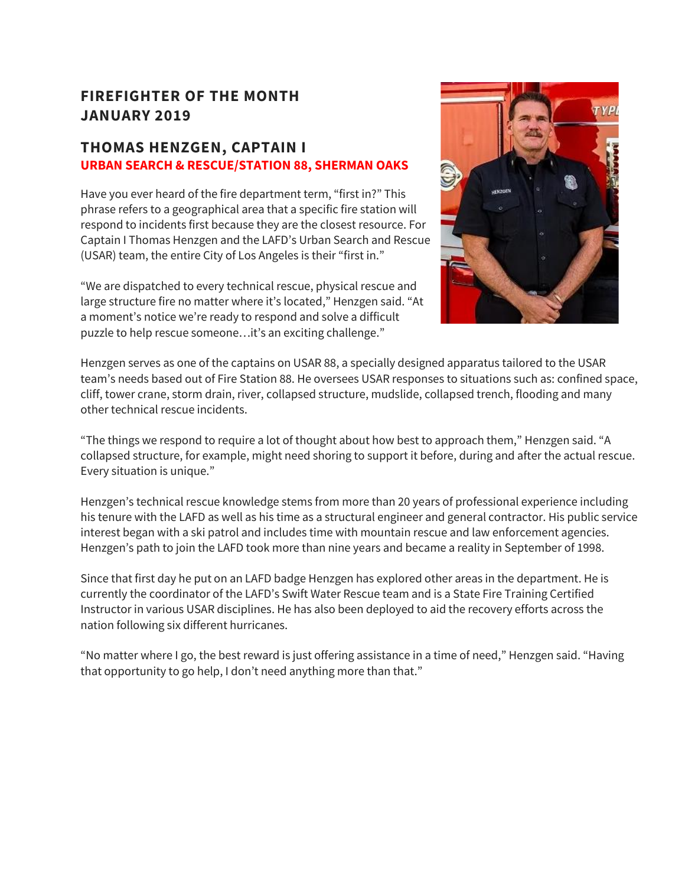## **FIREFIGHTER OF THE MONTH JANUARY 2019**

### **THOMAS HENZGEN, CAPTAIN I URBAN SEARCH & RESCUE/STATION 88, SHERMAN OAKS**

Have you ever heard of the fire department term, "first in?" This phrase refers to a geographical area that a specific fire station will respond to incidents first because they are the closest resource. For Captain I Thomas Henzgen and the LAFD's Urban Search and Rescue (USAR) team, the entire City of Los Angeles is their "first in."

"We are dispatched to every technical rescue, physical rescue and large structure fire no matter where it's located," Henzgen said. "At a moment's notice we're ready to respond and solve a difficult puzzle to help rescue someone…it's an exciting challenge."



Henzgen serves as one of the captains on USAR 88, a specially designed apparatus tailored to the USAR team's needs based out of Fire Station 88. He oversees USAR responses to situations such as: confined space, cliff, tower crane, storm drain, river, collapsed structure, mudslide, collapsed trench, flooding and many other technical rescue incidents.

"The things we respond to require a lot of thought about how best to approach them," Henzgen said. "A collapsed structure, for example, might need shoring to support it before, during and after the actual rescue. Every situation is unique."

Henzgen's technical rescue knowledge stems from more than 20 years of professional experience including his tenure with the LAFD as well as his time as a structural engineer and general contractor. His public service interest began with a ski patrol and includes time with mountain rescue and law enforcement agencies. Henzgen's path to join the LAFD took more than nine years and became a reality in September of 1998.

Since that first day he put on an LAFD badge Henzgen has explored other areas in the department. He is currently the coordinator of the LAFD's Swift Water Rescue team and is a State Fire Training Certified Instructor in various USAR disciplines. He has also been deployed to aid the recovery efforts across the nation following six different hurricanes.

"No matter where I go, the best reward is just offering assistance in a time of need," Henzgen said. "Having that opportunity to go help, I don't need anything more than that."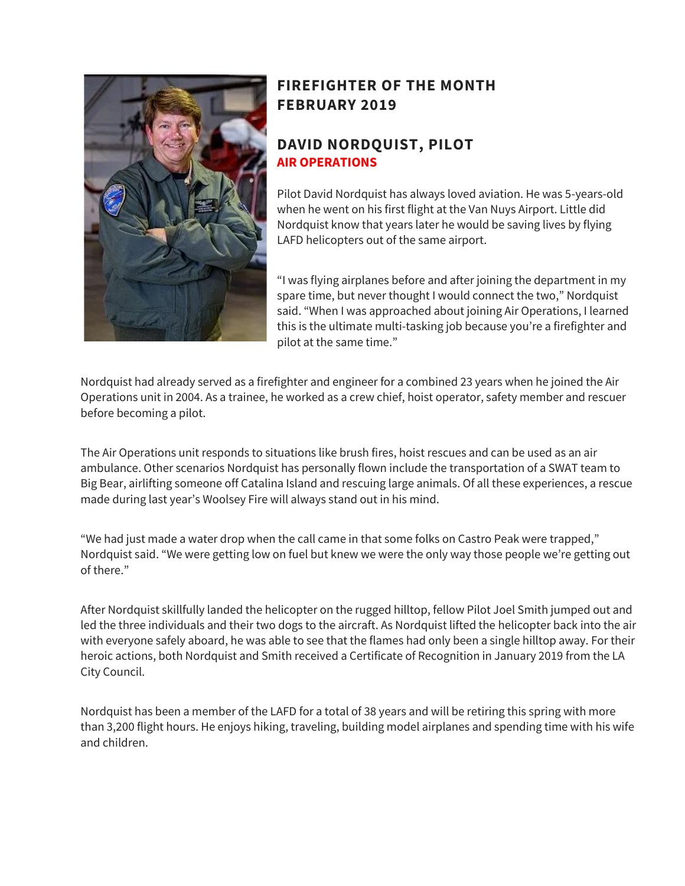

## **FIREFIGHTER OF THE MONTH FEBRUARY 2019**

### **DAVID NORDQUIST, PILOT AIR OPERATIONS**

Pilot David Nordquist has always loved aviation. He was 5-years-old when he went on his first flight at the Van Nuys Airport. Little did Nordquist know that years later he would be saving lives by flying LAFD helicopters out of the same airport.

"I was flying airplanes before and after joining the department in my spare time, but never thought I would connect the two," Nordquist said. "When I was approached about joining Air Operations, I learned this is the ultimate multi-tasking job because you're a firefighter and pilot at the same time."

Nordquist had already served as a firefighter and engineer for a combined 23 years when he joined the Air Operations unit in 2004. As a trainee, he worked as a crew chief, hoist operator, safety member and rescuer before becoming a pilot.

The Air Operations unit responds to situations like brush fires, hoist rescues and can be used as an air ambulance. Other scenarios Nordquist has personally flown include the transportation of a SWAT team to Big Bear, airlifting someone off Catalina Island and rescuing large animals. Of all these experiences, a rescue made during last year's Woolsey Fire will always stand out in his mind.

"We had just made a water drop when the call came in that some folks on Castro Peak were trapped," Nordquist said. "We were getting low on fuel but knew we were the only way those people we're getting out of there."

After Nordquist skillfully landed the helicopter on the rugged hilltop, fellow Pilot Joel Smith jumped out and led the three individuals and their two dogs to the aircraft. As Nordquist lifted the helicopter back into the air with everyone safely aboard, he was able to see that the flames had only been a single hilltop away. For their heroic actions, both Nordquist and Smith received a Certificate of Recognition in January 2019 from the LA City Council.

Nordquist has been a member of the LAFD for a total of 38 years and will be retiring this spring with more than 3,200 flight hours. He enjoys hiking, traveling, building model airplanes and spending time with his wife and children.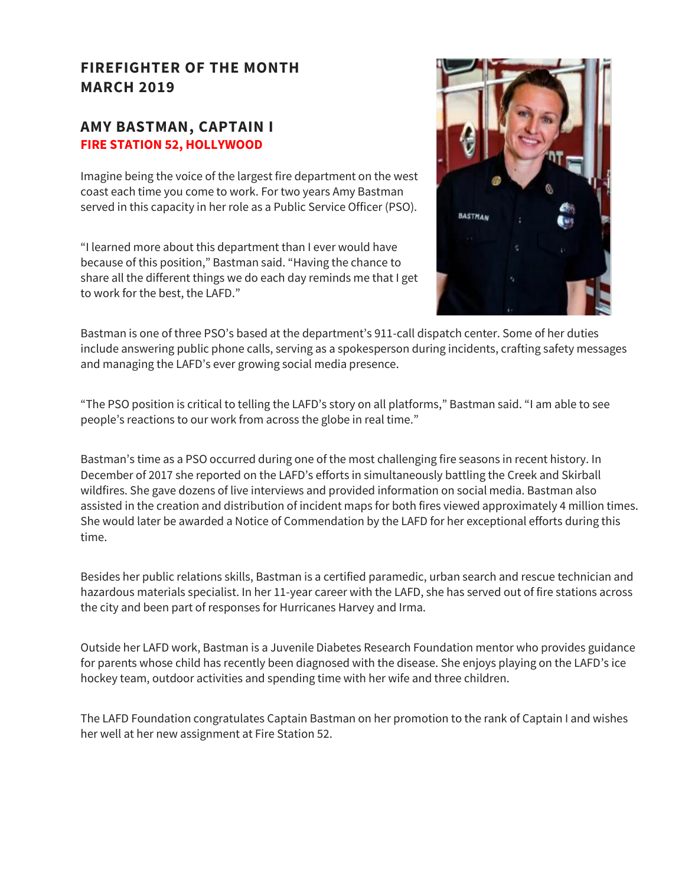## **FIREFIGHTER OF THE MONTH MARCH 2019**

#### **AMY BASTMAN, CAPTAIN I FIRE STATION 52, HOLLYWOOD**

Imagine being the voice of the largest fire department on the west coast each time you come to work. For two years Amy Bastman served in this capacity in her role as a Public Service Officer (PSO).

"I learned more about this department than I ever would have because of this position," Bastman said. "Having the chance to share all the different things we do each day reminds me that I get to work for the best, the LAFD."



Bastman is one of three PSO's based at the department's 911-call dispatch center. Some of her duties include answering public phone calls, serving as a spokesperson during incidents, crafting safety messages and managing the LAFD's ever growing social media presence.

"The PSO position is critical to telling the LAFD's story on all platforms," Bastman said. "I am able to see people's reactions to our work from across the globe in real time."

Bastman's time as a PSO occurred during one of the most challenging fire seasons in recent history. In December of 2017 she reported on the LAFD's efforts in simultaneously battling the Creek and Skirball wildfires. She gave dozens of live interviews and provided information on social media. Bastman also assisted in the creation and distribution of incident maps for both fires viewed approximately 4 million times. She would later be awarded a Notice of Commendation by the LAFD for her exceptional efforts during this time.

Besides her public relations skills, Bastman is a certified paramedic, urban search and rescue technician and hazardous materials specialist. In her 11-year career with the LAFD, she has served out of fire stations across the city and been part of responses for Hurricanes Harvey and Irma.

Outside her LAFD work, Bastman is a Juvenile Diabetes Research Foundation mentor who provides guidance for parents whose child has recently been diagnosed with the disease. She enjoys playing on the LAFD's ice hockey team, outdoor activities and spending time with her wife and three children.

The LAFD Foundation congratulates Captain Bastman on her promotion to the rank of Captain I and wishes her well at her new assignment at Fire Station 52.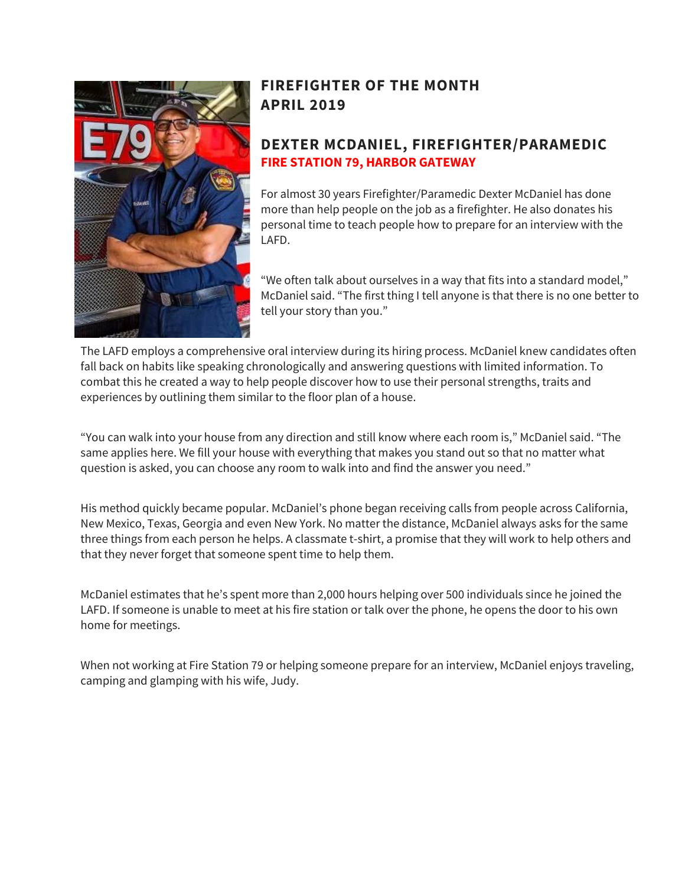

## **FIREFIGHTER OF THE MONTH APRIL 2019**

### **DEXTER MCDANIEL, FIREFIGHTER/PARAMEDIC FIRE STATION 79, HARBOR GATEWAY**

For almost 30 years Firefighter/Paramedic Dexter McDaniel has done more than help people on the job as a firefighter. He also donates his personal time to teach people how to prepare for an interview with the LAFD.

"We often talk about ourselves in a way that fits into a standard model," McDaniel said. "The first thing I tell anyone is that there is no one better to tell your story than you."

The LAFD employs a comprehensive oral interview during its hiring process. McDaniel knew candidates often fall back on habits like speaking chronologically and answering questions with limited information. To combat this he created a way to help people discover how to use their personal strengths, traits and experiences by outlining them similar to the floor plan of a house.

"You can walk into your house from any direction and still know where each room is," McDaniel said. "The same applies here. We fill your house with everything that makes you stand out so that no matter what question is asked, you can choose any room to walk into and find the answer you need."

His method quickly became popular. McDaniel's phone began receiving calls from people across California, New Mexico, Texas, Georgia and even New York. No matter the distance, McDaniel always asks for the same three things from each person he helps. A classmate t-shirt, a promise that they will work to help others and that they never forget that someone spent time to help them.

McDaniel estimates that he's spent more than 2,000 hours helping over 500 individuals since he joined the LAFD. If someone is unable to meet at his fire station or talk over the phone, he opens the door to his own home for meetings.

When not working at Fire Station 79 or helping someone prepare for an interview, McDaniel enjoys traveling, camping and glamping with his wife, Judy.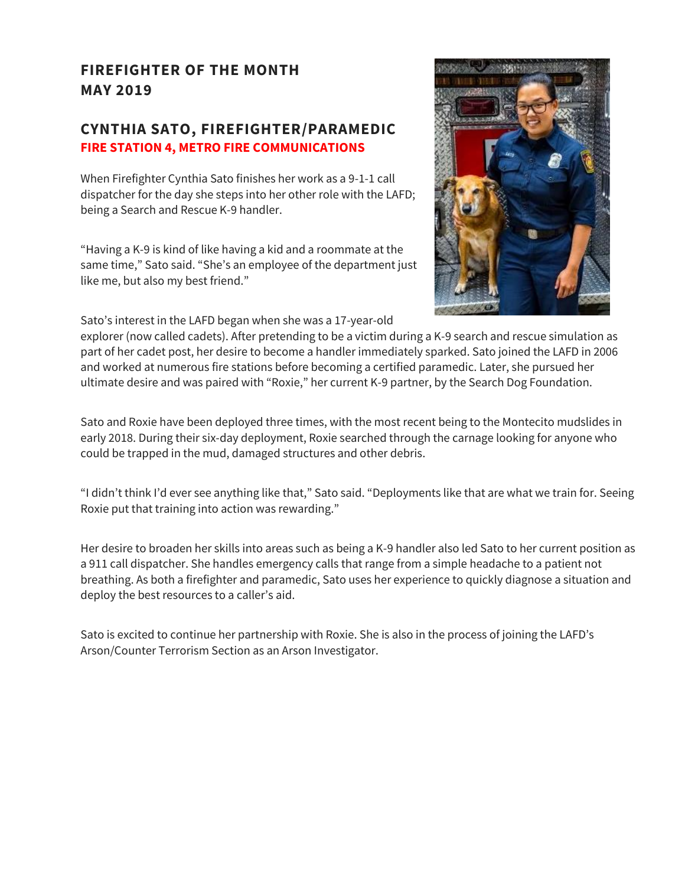## **FIREFIGHTER OF THE MONTH MAY 2019**

#### **CYNTHIA SATO, FIREFIGHTER/PARAMEDIC FIRE STATION 4, METRO FIRE COMMUNICATIONS**

When Firefighter Cynthia Sato finishes her work as a 9-1-1 call dispatcher for the day she steps into her other role with the LAFD; being a Search and Rescue K-9 handler.

"Having a K-9 is kind of like having a kid and a roommate at the same time," Sato said. "She's an employee of the department just like me, but also my best friend."

Sato's interest in the LAFD began when she was a 17-year-old



explorer (now called cadets). After pretending to be a victim during a K-9 search and rescue simulation as part of her cadet post, her desire to become a handler immediately sparked. Sato joined the LAFD in 2006 and worked at numerous fire stations before becoming a certified paramedic. Later, she pursued her ultimate desire and was paired with "Roxie," her current K-9 partner, by the Search Dog Foundation.

Sato and Roxie have been deployed three times, with the most recent being to the Montecito mudslides in early 2018. During their six-day deployment, Roxie searched through the carnage looking for anyone who could be trapped in the mud, damaged structures and other debris.

"I didn't think I'd ever see anything like that," Sato said. "Deployments like that are what we train for. Seeing Roxie put that training into action was rewarding."

Her desire to broaden her skills into areas such as being a K-9 handler also led Sato to her current position as a 911 call dispatcher. She handles emergency calls that range from a simple headache to a patient not breathing. As both a firefighter and paramedic, Sato uses her experience to quickly diagnose a situation and deploy the best resources to a caller's aid.

Sato is excited to continue her partnership with Roxie. She is also in the process of joining the LAFD's Arson/Counter Terrorism Section as an Arson Investigator.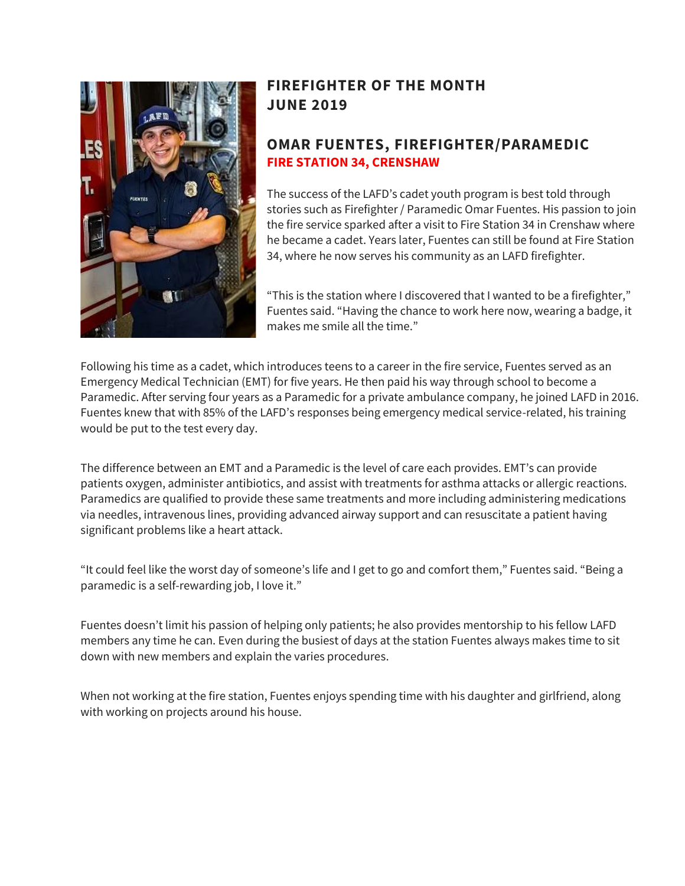

## **FIREFIGHTER OF THE MONTH JUNE 2019**

### **OMAR FUENTES, FIREFIGHTER/PARAMEDIC FIRE STATION 34, CRENSHAW**

The success of the LAFD's cadet youth program is best told through stories such as Firefighter / Paramedic Omar Fuentes. His passion to join the fire service sparked after a visit to Fire Station 34 in Crenshaw where he became a cadet. Years later, Fuentes can still be found at Fire Station 34, where he now serves his community as an LAFD firefighter.

"This is the station where I discovered that I wanted to be a firefighter," Fuentes said. "Having the chance to work here now, wearing a badge, it makes me smile all the time."

Following his time as a cadet, which introduces teens to a career in the fire service, Fuentes served as an Emergency Medical Technician (EMT) for five years. He then paid his way through school to become a Paramedic. After serving four years as a Paramedic for a private ambulance company, he joined LAFD in 2016. Fuentes knew that with 85% of the LAFD's responses being emergency medical service-related, his training would be put to the test every day.

The difference between an EMT and a Paramedic is the level of care each provides. EMT's can provide patients oxygen, administer antibiotics, and assist with treatments for asthma attacks or allergic reactions. Paramedics are qualified to provide these same treatments and more including administering medications via needles, intravenous lines, providing advanced airway support and can resuscitate a patient having significant problems like a heart attack.

"It could feel like the worst day of someone's life and I get to go and comfort them," Fuentes said. "Being a paramedic is a self-rewarding job, I love it."

Fuentes doesn't limit his passion of helping only patients; he also provides mentorship to his fellow LAFD members any time he can. Even during the busiest of days at the station Fuentes always makes time to sit down with new members and explain the varies procedures.

When not working at the fire station, Fuentes enjoys spending time with his daughter and girlfriend, along with working on projects around his house.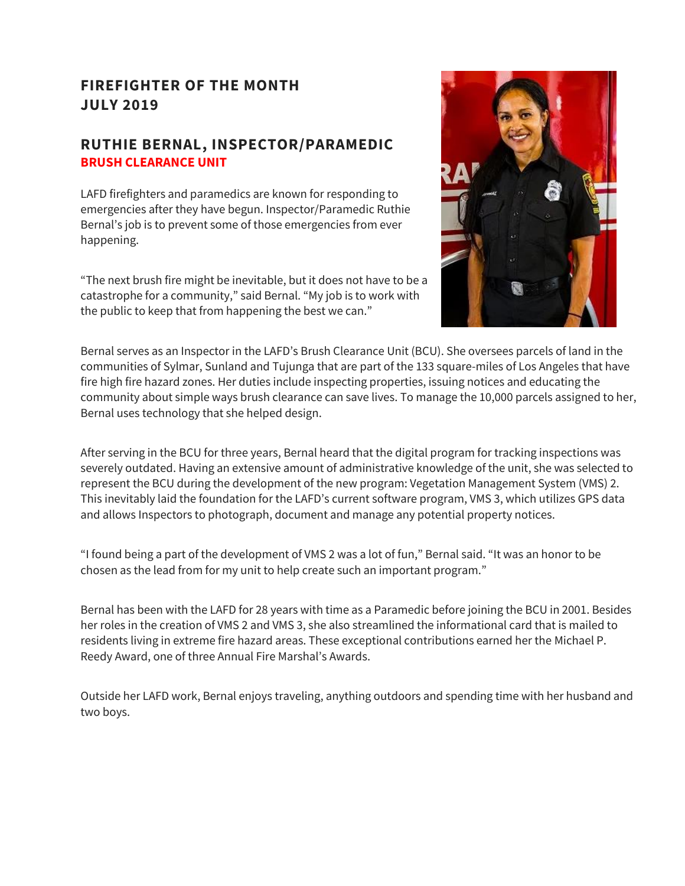### **FIREFIGHTER OF THE MONTH JULY 2019**

### **RUTHIE BERNAL, INSPECTOR/PARAMEDIC BRUSH CLEARANCE UNIT**

LAFD firefighters and paramedics are known for responding to emergencies after they have begun. Inspector/Paramedic Ruthie Bernal's job is to prevent some of those emergencies from ever happening.

"The next brush fire might be inevitable, but it does not have to be a catastrophe for a community," said Bernal. "My job is to work with the public to keep that from happening the best we can."



Bernal serves as an Inspector in the LAFD's Brush Clearance Unit (BCU). She oversees parcels of land in the communities of Sylmar, Sunland and Tujunga that are part of the 133 square-miles of Los Angeles that have fire high fire hazard zones. Her duties include inspecting properties, issuing notices and educating the community about simple ways brush clearance can save lives. To manage the 10,000 parcels assigned to her, Bernal uses technology that she helped design.

After serving in the BCU for three years, Bernal heard that the digital program for tracking inspections was severely outdated. Having an extensive amount of administrative knowledge of the unit, she was selected to represent the BCU during the development of the new program: Vegetation Management System (VMS) 2. This inevitably laid the foundation for the LAFD's current software program, VMS 3, which utilizes GPS data and allows Inspectors to photograph, document and manage any potential property notices.

"I found being a part of the development of VMS 2 was a lot of fun," Bernal said. "It was an honor to be chosen as the lead from for my unit to help create such an important program."

Bernal has been with the LAFD for 28 years with time as a Paramedic before joining the BCU in 2001. Besides her roles in the creation of VMS 2 and VMS 3, she also streamlined the informational card that is mailed to residents living in extreme fire hazard areas. These exceptional contributions earned her the Michael P. Reedy Award, one of three Annual Fire Marshal's Awards.

Outside her LAFD work, Bernal enjoys traveling, anything outdoors and spending time with her husband and two boys.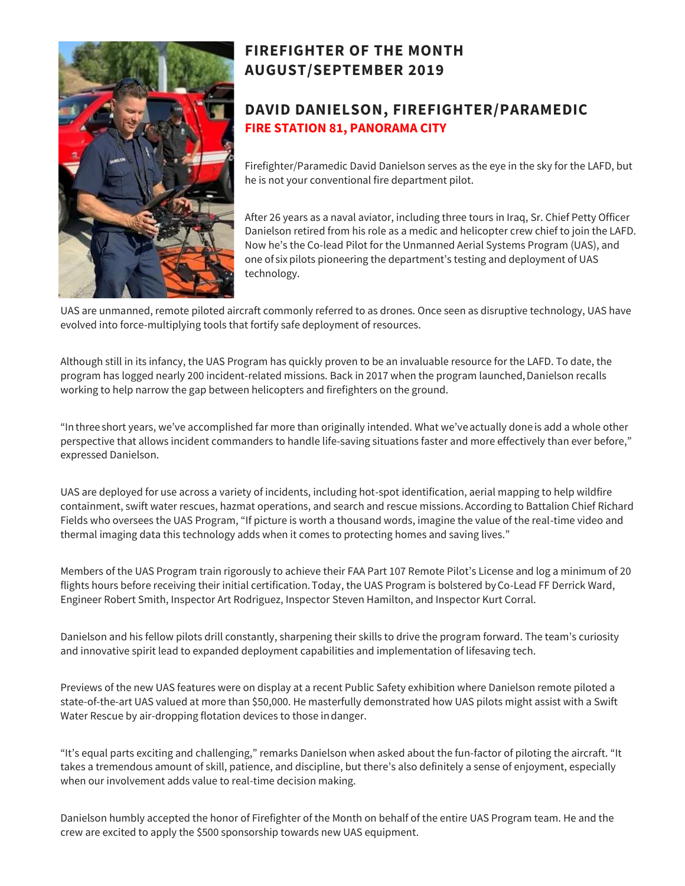

# **FIREFIGHTER OF THE MONTH AUGUST/SEPTEMBER 2019**

### **DAVID DANIELSON, FIREFIGHTER/PARAMEDIC FIRE STATION 81, PANORAMA CITY**

Firefighter/Paramedic David Danielson serves as the eye in the sky for the LAFD, but he is not your conventional fire department pilot.

After 26 years as a naval aviator, including three tours in Iraq, Sr. Chief Petty Officer Danielson retired from his role as a medic and helicopter crew chief to join the LAFD. Now he's the Co-lead Pilot for the Unmanned Aerial Systems Program (UAS), and one of six pilots pioneering the department's testing and deployment of UAS technology.

UAS are unmanned, remote piloted aircraft commonly referred to as drones. Once seen as disruptive technology, UAS have evolved into force-multiplying tools that fortify safe deployment of resources.

Although still in its infancy, the UAS Program has quickly proven to be an invaluable resource for the LAFD. To date, the program has logged nearly 200 incident-related missions. Back in 2017 when the program launched, Danielson recalls working to help narrow the gap between helicopters and firefighters on the ground.  

"In three short years, we've accomplished far more than originally intended. What we've actually done is add a whole other perspective that allows incident commanders to handle life-saving situations faster and more effectively than ever before," expressed Danielson.  

UAS are deployed for use across a variety of incidents, including hot-spot identification, aerial mapping to help wildfire containment, swift water rescues, hazmat operations, and search and rescue missions. According to Battalion Chief Richard Fields who oversees the UAS Program, "If picture is worth a thousand words, imagine the value of the real-time video and thermal imaging data this technology adds when it comes to protecting homes and saving lives." 

Members of the UAS Program train rigorously to achieve their FAA Part 107 Remote Pilot's License and log a minimum of 20 flights hours before receiving their initial certification. Today, the UAS Program is bolstered by Co-Lead FF Derrick Ward, Engineer Robert Smith, Inspector Art Rodriguez, Inspector Steven Hamilton, and Inspector Kurt Corral.

Danielson and his fellow pilots drill constantly, sharpening their skills to drive the program forward. The team's curiosity and innovative spirit lead to expanded deployment capabilities and implementation of lifesaving tech.

Previews of the new UAS features were on display at a recent Public Safety exhibition where Danielson remote piloted a state-of-the-art UAS valued at more than \$50,000. He masterfully demonstrated how UAS pilots might assist with a Swift Water Rescue by air-dropping flotation devices to those in danger. 

"It's equal parts exciting and challenging," remarks Danielson when asked about the fun-factor of piloting the aircraft. "It takes a tremendous amount of skill, patience, and discipline, but there's also definitely a sense of enjoyment, especially when our involvement adds value to real-time decision making.

Danielson humbly accepted the honor of Firefighter of the Month on behalf of the entire UAS Program team. He and the crew are excited to apply the \$500 sponsorship towards new UAS equipment.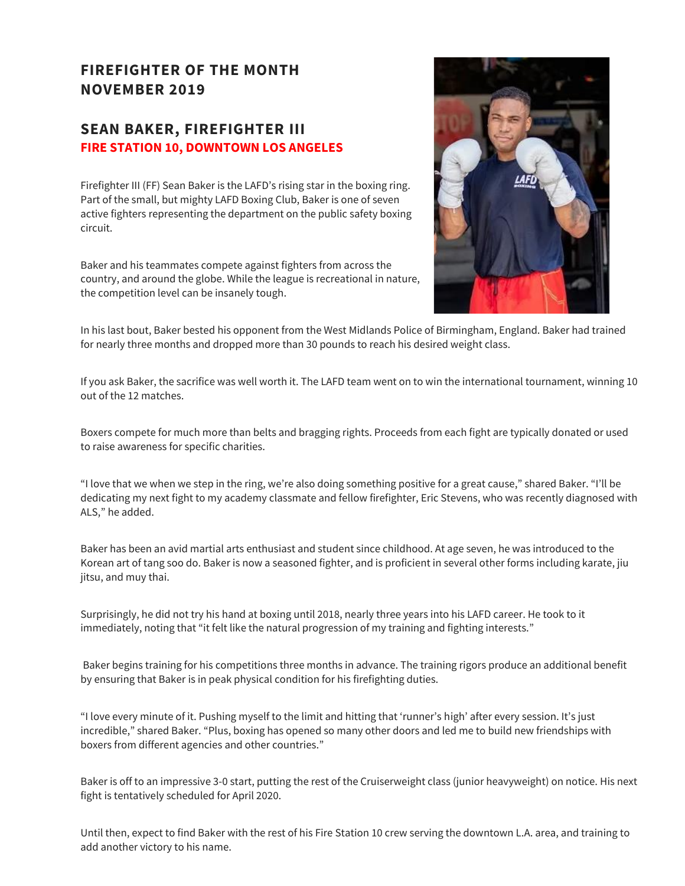### **FIREFIGHTER OF THE MONTH NOVEMBER 2019**

### **SEAN BAKER, FIREFIGHTER III FIRE STATION 10, DOWNTOWN LOS ANGELES**

Firefighter III (FF) Sean Baker is the LAFD's rising star in the boxing ring. Part of the small, but mighty LAFD Boxing Club, Baker is one of seven active fighters representing the department on the public safety boxing circuit.

Baker and his teammates compete against fighters from across the country, and around the globe. While the league is recreational in nature, the competition level can be insanely tough.



In his last bout, Baker bested his opponent from the West Midlands Police of Birmingham, England. Baker had trained for nearly three months and dropped more than 30 pounds to reach his desired weight class.

If you ask Baker, the sacrifice was well worth it. The LAFD team went on to win the international tournament, winning 10 out of the 12 matches.

Boxers compete for much more than belts and bragging rights. Proceeds from each fight are typically donated or used to raise awareness for specific charities.

"I love that we when we step in the ring, we're also doing something positive for a great cause," shared Baker. "I'll be dedicating my next fight to my academy classmate and fellow firefighter, Eric Stevens, who was recently diagnosed with ALS," he added.

Baker has been an avid martial arts enthusiast and student since childhood. At age seven, he was introduced to the Korean art of tang soo do. Baker is now a seasoned fighter, and is proficient in several other forms including karate, jiu jitsu, and muy thai.

Surprisingly, he did not try his hand at boxing until 2018, nearly three years into his LAFD career. He took to it immediately, noting that "it felt like the natural progression of my training and fighting interests."

Baker begins training for his competitions three months in advance. The training rigors produce an additional benefit by ensuring that Baker is in peak physical condition for his firefighting duties.

"I love every minute of it. Pushing myself to the limit and hitting that 'runner's high' after every session. It's just incredible," shared Baker. "Plus, boxing has opened so many other doors and led me to build new friendships with boxers from different agencies and other countries."

Baker is off to an impressive 3-0 start, putting the rest of the Cruiserweight class (junior heavyweight) on notice. His next fight is tentatively scheduled for April 2020.

Until then, expect to find Baker with the rest of his Fire Station 10 crew serving the downtown L.A. area, and training to add another victory to his name.